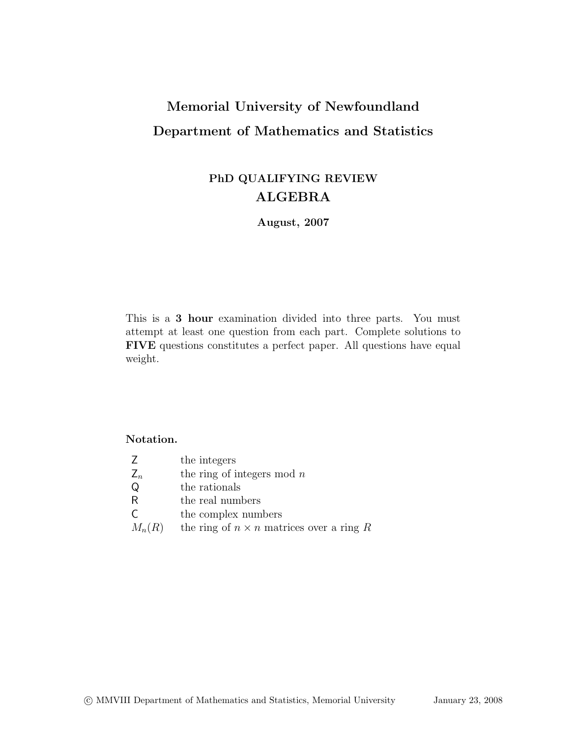# Memorial University of Newfoundland Department of Mathematics and Statistics

## PhD QUALIFYING REVIEW ALGEBRA

August, 2007

This is a 3 hour examination divided into three parts. You must attempt at least one question from each part. Complete solutions to FIVE questions constitutes a perfect paper. All questions have equal weight.

### Notation.

- Z the integers
- $Z_n$  the ring of integers mod n<br>Q the rationals
- the rationals
- R the real numbers
- C the complex numbers
- $M_n(R)$  the ring of  $n \times n$  matrices over a ring R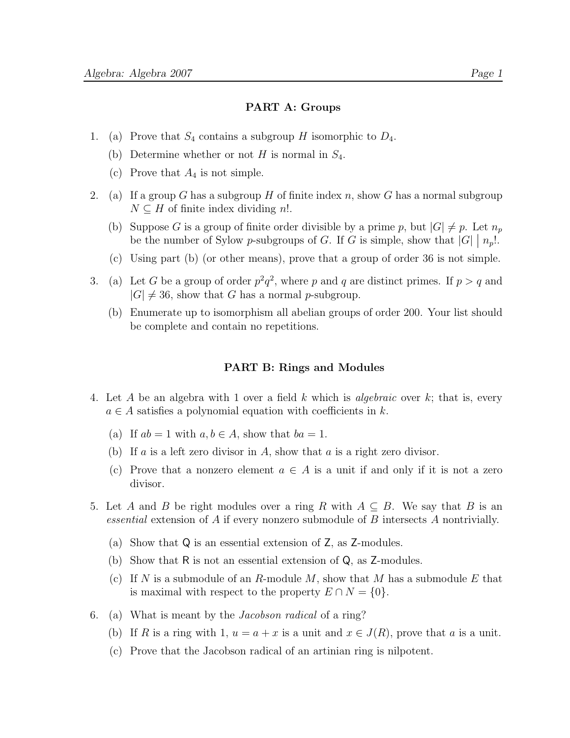#### PART A: Groups

- 1. (a) Prove that  $S_4$  contains a subgroup H isomorphic to  $D_4$ .
	- (b) Determine whether or not  $H$  is normal in  $S_4$ .
	- (c) Prove that  $A_4$  is not simple.
- 2. (a) If a group G has a subgroup H of finite index n, show G has a normal subgroup  $N \subseteq H$  of finite index dividing n!.
	- (b) Suppose G is a group of finite order divisible by a prime p, but  $|G| \neq p$ . Let  $n_p$ be the number of Sylow *p*-subgroups of *G*. If *G* is simple, show that  $|G| \mid n_p!$ .
	- (c) Using part (b) (or other means), prove that a group of order 36 is not simple.
- 3. (a) Let G be a group of order  $p^2q^2$ , where p and q are distinct primes. If  $p > q$  and  $|G| \neq 36$ , show that G has a normal p-subgroup.
	- (b) Enumerate up to isomorphism all abelian groups of order 200. Your list should be complete and contain no repetitions.

#### PART B: Rings and Modules

- 4. Let A be an algebra with 1 over a field k which is algebraic over k; that is, every  $a \in A$  satisfies a polynomial equation with coefficients in k.
	- (a) If  $ab = 1$  with  $a, b \in A$ , show that  $ba = 1$ .
	- (b) If a is a left zero divisor in A, show that a is a right zero divisor.
	- (c) Prove that a nonzero element  $a \in A$  is a unit if and only if it is not a zero divisor.
- 5. Let A and B be right modules over a ring R with  $A \subseteq B$ . We say that B is an essential extension of A if every nonzero submodule of B intersects A nontrivially.
	- (a) Show that Q is an essential extension of Z, as Z-modules.
	- (b) Show that R is not an essential extension of Q, as Z-modules.
	- (c) If N is a submodule of an R-module M, show that M has a submodule E that is maximal with respect to the property  $E \cap N = \{0\}.$
- 6. (a) What is meant by the Jacobson radical of a ring?
	- (b) If R is a ring with 1,  $u = a + x$  is a unit and  $x \in J(R)$ , prove that a is a unit.
	- (c) Prove that the Jacobson radical of an artinian ring is nilpotent.